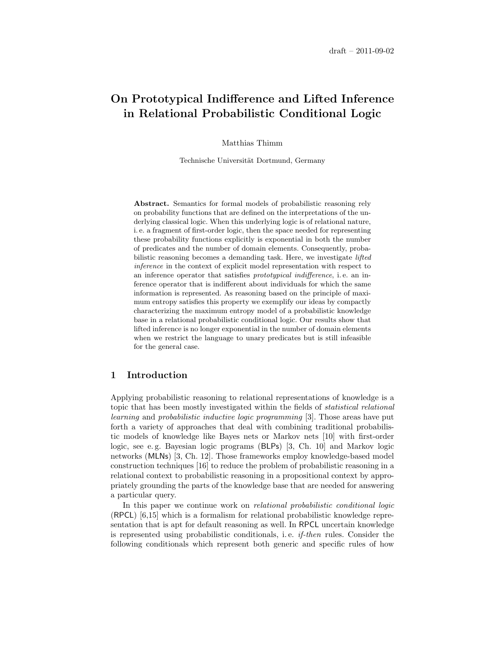# On Prototypical Indifference and Lifted Inference in Relational Probabilistic Conditional Logic

Matthias Thimm

Technische Universität Dortmund, Germany

Abstract. Semantics for formal models of probabilistic reasoning rely on probability functions that are defined on the interpretations of the underlying classical logic. When this underlying logic is of relational nature, i. e. a fragment of first-order logic, then the space needed for representing these probability functions explicitly is exponential in both the number of predicates and the number of domain elements. Consequently, probabilistic reasoning becomes a demanding task. Here, we investigate *lifted* inference in the context of explicit model representation with respect to an inference operator that satisfies prototypical indifference, i. e. an inference operator that is indifferent about individuals for which the same information is represented. As reasoning based on the principle of maximum entropy satisfies this property we exemplify our ideas by compactly characterizing the maximum entropy model of a probabilistic knowledge base in a relational probabilistic conditional logic. Our results show that lifted inference is no longer exponential in the number of domain elements when we restrict the language to unary predicates but is still infeasible for the general case.

# 1 Introduction

Applying probabilistic reasoning to relational representations of knowledge is a topic that has been mostly investigated within the fields of statistical relational learning and probabilistic inductive logic programming [\[3\]](#page-14-0). Those areas have put forth a variety of approaches that deal with combining traditional probabilistic models of knowledge like Bayes nets or Markov nets [\[10\]](#page-14-1) with first-order logic, see e. g. Bayesian logic programs (BLPs) [\[3,](#page-14-0) Ch. 10] and Markov logic networks (MLNs) [\[3,](#page-14-0) Ch. 12]. Those frameworks employ knowledge-based model construction techniques [\[16\]](#page-14-2) to reduce the problem of probabilistic reasoning in a relational context to probabilistic reasoning in a propositional context by appropriately grounding the parts of the knowledge base that are needed for answering a particular query.

In this paper we continue work on *relational probabilistic conditional logic* (RPCL) [\[6,](#page-14-3)[15\]](#page-14-4) which is a formalism for relational probabilistic knowledge representation that is apt for default reasoning as well. In RPCL uncertain knowledge is represented using probabilistic conditionals, i. e. if-then rules. Consider the following conditionals which represent both generic and specific rules of how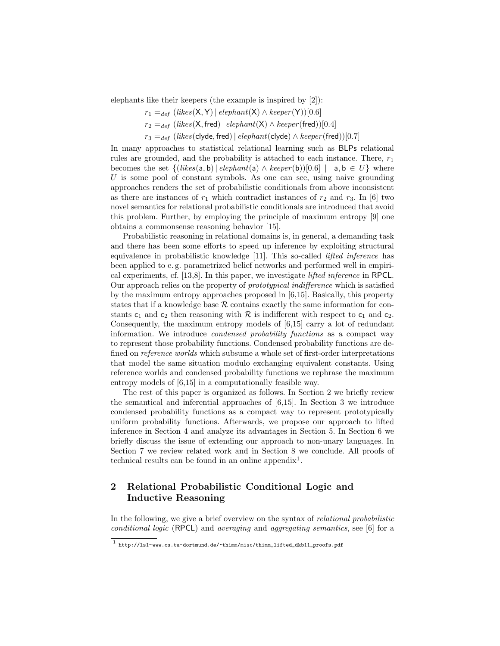elephants like their keepers (the example is inspired by [\[2\]](#page-14-5)):

 $r_1 =_{def} (likes(X, Y) | element(X) \wedge keeper(Y))[0.6]$ 

 $r_2 =_{def} (likes(X, freq) | elephant(X) \wedge keeper(fred))[0.4]$ 

 $r_3 =_{def} (likes(clyde, freq) | elephant(clyde) \wedge keeper(fred))[0.7]$ 

In many approaches to statistical relational learning such as BLPs relational rules are grounded, and the probability is attached to each instance. There,  $r_1$ becomes the set  $\{(likes(a, b) | elephant(a) \wedge keeper(b))[0.6] \mid a, b \in U\}$  where U is some pool of constant symbols. As one can see, using naive grounding approaches renders the set of probabilistic conditionals from above inconsistent as there are instances of  $r_1$  which contradict instances of  $r_2$  and  $r_3$ . In [\[6\]](#page-14-3) two novel semantics for relational probabilistic conditionals are introduced that avoid this problem. Further, by employing the principle of maximum entropy [\[9\]](#page-14-6) one obtains a commonsense reasoning behavior [\[15\]](#page-14-4).

Probabilistic reasoning in relational domains is, in general, a demanding task and there has been some efforts to speed up inference by exploiting structural equivalence in probabilistic knowledge [\[11\]](#page-14-7). This so-called lifted inference has been applied to e. g. parametrized belief networks and performed well in empirical experiments, cf. [\[13,](#page-14-8)[8\]](#page-14-9). In this paper, we investigate lifted inference in RPCL. Our approach relies on the property of prototypical indifference which is satisfied by the maximum entropy approaches proposed in [\[6,](#page-14-3)[15\]](#page-14-4). Basically, this property states that if a knowledge base  $R$  contains exactly the same information for constants  $c_1$  and  $c_2$  then reasoning with R is indifferent with respect to  $c_1$  and  $c_2$ . Consequently, the maximum entropy models of [\[6,](#page-14-3)[15\]](#page-14-4) carry a lot of redundant information. We introduce condensed probability functions as a compact way to represent those probability functions. Condensed probability functions are defined on reference worlds which subsume a whole set of first-order interpretations that model the same situation modulo exchanging equivalent constants. Using reference worlds and condensed probability functions we rephrase the maximum entropy models of [\[6](#page-14-3)[,15\]](#page-14-4) in a computationally feasible way.

The rest of this paper is organized as follows. In Section [2](#page-1-0) we briefly review the semantical and inferential approaches of [\[6,](#page-14-3)[15\]](#page-14-4). In Section [3](#page-5-0) we introduce condensed probability functions as a compact way to represent prototypically uniform probability functions. Afterwards, we propose our approach to lifted inference in Section [4](#page-7-0) and analyze its advantages in Section [5.](#page-9-0) In Section [6](#page-10-0) we briefly discuss the issue of extending our approach to non-unary languages. In Section [7](#page-11-0) we review related work and in Section [8](#page-13-0) we conclude. All proofs of technical results can be found in an online appendix<sup>[1](#page-1-1)</sup>.

# <span id="page-1-0"></span>2 Relational Probabilistic Conditional Logic and Inductive Reasoning

In the following, we give a brief overview on the syntax of relational probabilistic conditional logic (RPCL) and averaging and aggregating semantics, see [\[6\]](#page-14-3) for a

<span id="page-1-1"></span> $^1$ [http://ls1-www.cs.tu-dortmund.de/~thimm/misc/thimm\\_lifted\\_dkb11\\_proofs.pdf](http://ls1-www.cs.tu-dortmund.de/~thimm/misc/thimm_lifted_dkb11_proofs.pdf)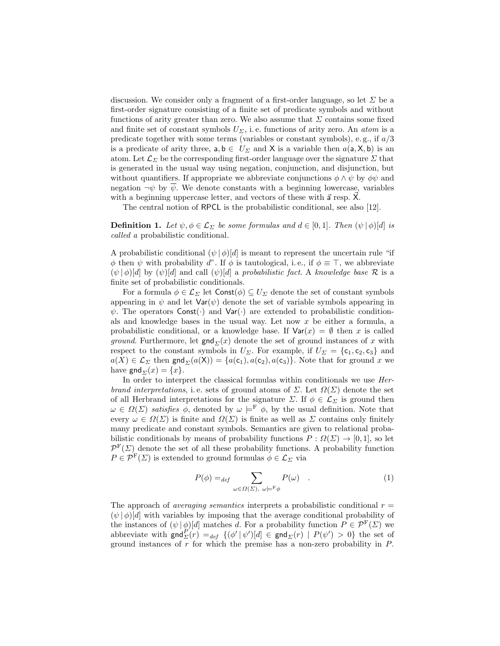discussion. We consider only a fragment of a first-order language, so let  $\Sigma$  be a first-order signature consisting of a finite set of predicate symbols and without functions of arity greater than zero. We also assume that  $\Sigma$  contains some fixed and finite set of constant symbols  $U_{\Sigma}$ , i.e. functions of arity zero. An *atom* is a predicate together with some terms (variables or constant symbols), e.g., if  $a/3$ is a predicate of arity three,  $a, b \in U_{\Sigma}$  and X is a variable then  $a(a, X, b)$  is an atom. Let  $\mathcal{L}_{\Sigma}$  be the corresponding first-order language over the signature  $\Sigma$  that is generated in the usual way using negation, conjunction, and disjunction, but without quantifiers. If appropriate we abbreviate conjunctions  $\phi \wedge \psi$  by  $\phi \psi$  and negation  $\neg \psi$  by  $\overline{\psi}$ . We denote constants with a beginning lowercase, variables with a beginning uppercase letter, and vectors of these with  $\vec{a}$  resp.  $\chi$ .

The central notion of RPCL is the probabilistic conditional, see also [\[12\]](#page-14-10).

**Definition 1.** Let  $\psi, \phi \in \mathcal{L}_{\Sigma}$  be some formulas and  $d \in [0,1]$ . Then  $(\psi | \phi) [d]$  is called a probabilistic conditional.

A probabilistic conditional  $(\psi | \phi) [d]$  is meant to represent the uncertain rule "if  $\phi$  then  $\psi$  with probability d". If  $\phi$  is tautological, i.e., if  $\phi \equiv \top$ , we abbreviate  $(\psi | \phi) [d]$  by  $(\psi) [d]$  and call  $(\psi) [d]$  a probabilistic fact. A knowledge base R is a finite set of probabilistic conditionals.

For a formula  $\phi \in \mathcal{L}_{\Sigma}$  let  $\text{Const}(\phi) \subseteq U_{\Sigma}$  denote the set of constant symbols appearing in  $\psi$  and let  $\text{Var}(\psi)$  denote the set of variable symbols appearing in  $\psi$ . The operators Const(.) and Var(.) are extended to probabilistic conditionals and knowledge bases in the usual way. Let now  $x$  be either a formula, a probabilistic conditional, or a knowledge base. If  $Var(x) = \emptyset$  then x is called *ground.* Furthermore, let  $\text{gnd}_{\Sigma}(x)$  denote the set of ground instances of x with respect to the constant symbols in  $U_{\Sigma}$ . For example, if  $U_{\Sigma} = {\mathfrak c}_1, {\mathfrak c}_2, {\mathfrak c}_3$  and  $a(X) \in \mathcal{L}_{\Sigma}$  then  $\textsf{gnd}_{\Sigma}(a(X)) = \{a(c_1), a(c_2), a(c_3)\}.$  Note that for ground x we have gnd  $\Gamma(x) = \{x\}.$ 

In order to interpret the classical formulas within conditionals we use Herbrand interpretations, i.e. sets of ground atoms of  $\Sigma$ . Let  $\Omega(\Sigma)$  denote the set of all Herbrand interpretations for the signature  $\Sigma$ . If  $\phi \in \mathcal{L}_{\Sigma}$  is ground then  $\omega \in \Omega(\Sigma)$  satisfies  $\phi$ , denoted by  $\omega \models^{\mathbf{F}} \phi$ , by the usual definition. Note that every  $\omega \in \Omega(\Sigma)$  is finite and  $\Omega(\Sigma)$  is finite as well as  $\Sigma$  contains only finitely many predicate and constant symbols. Semantics are given to relational probabilistic conditionals by means of probability functions  $P: \Omega(\Sigma) \to [0,1]$ , so let  $\mathcal{P}^{\text{F}}(\Sigma)$  denote the set of all these probability functions. A probability function  $P \in \mathcal{P}^{\mathrm{F}}(\Sigma)$  is extended to ground formulas  $\phi \in \mathcal{L}_{\Sigma}$  via

$$
P(\phi) =_{def} \sum_{\omega \in \Omega(\Sigma), \ \omega \models^{\mathcal{F}} \phi} P(\omega) \quad . \tag{1}
$$

The approach of *averaging semantics* interprets a probabilistic conditional  $r =$  $(\psi | \phi) [d]$  with variables by imposing that the average conditional probability of the instances of  $(\psi | \phi)[d]$  matches d. For a probability function  $P \in \mathcal{P}^{\mathbb{F}}(\Sigma)$  we abbreviate with  $\text{gnd}_{\Sigma}^{P}(r) =_{def} \{ (\phi' | \psi') [d] \in \text{gnd}_{\Sigma}(r) | P(\psi') > 0 \}$  the set of ground instances of  $r$  for which the premise has a non-zero probability in  $P$ .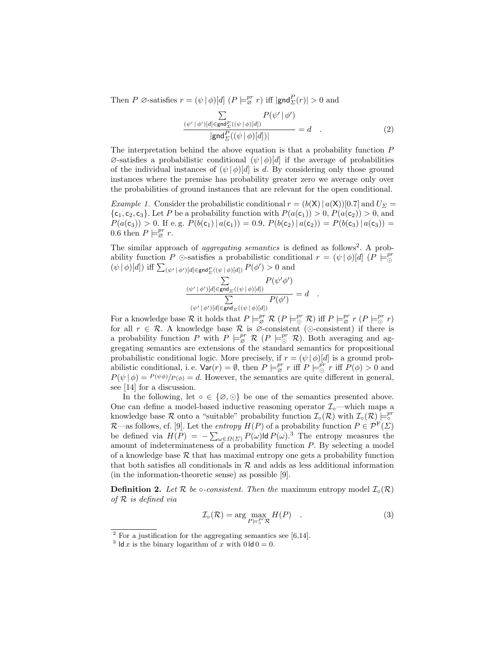Then P  $\emptyset$ -satisfies  $r = (\psi | \phi) [d]$   $(P \models_{\emptyset}^{pr} r)$  iff  $|\text{gnd}_{\Sigma}^{P}(r)| > 0$  and

$$
\frac{\sum\limits_{(\psi' \mid \phi')\mid d\mid \in \text{gnd}_{\Sigma}^{P}((\psi \mid \phi)[d])} P(\psi' \mid \phi')}{|\text{gnd}_{\Sigma}^{P}((\psi \mid \phi)[d])|} = d \quad . \tag{2}
$$

The interpretation behind the above equation is that a probability function P  $\varnothing$ -satisfies a probabilistic conditional  $(\psi | \phi)[d]$  if the average of probabilities of the individual instances of  $(\psi | \phi) [d]$  is d. By considering only those ground instances where the premise has probability greater zero we average only over the probabilities of ground instances that are relevant for the open conditional.

*Example 1.* Consider the probabilistic conditional  $r = (b(X) | a(X))[0.7]$  and  $U_{\Sigma}$  ${c_1, c_2, c_3}$ . Let P be a probability function with  $P(a(c_1)) > 0$ ,  $P(a(c_2)) > 0$ , and  $P(a(c_3)) > 0$ . If e.g.  $P(b(c_1) | a(c_1)) = 0.9$ ,  $P(b(c_2) | a(c_2)) = P(b(c_3) | a(c_3)) =$ 0.6 then  $P \models_{\varnothing}^{pr} r$ .

The similar approach of *aggregating semantics* is defined as follows<sup>[2](#page-3-0)</sup>. A probability function P  $\odot$ -satisfies a probabilistic conditional  $r = (\psi | \phi) [d]$  (P  $\models_{\odot}^{pr}$  $(\psi | \phi) [d]$ ) iff  $\sum_{(\psi' | \phi') [d] \in \mathsf{gnd}^P_{\Sigma}((\psi | \phi) [d])} P(\phi') > 0$  and

$$
\frac{\sum\limits_{(\psi'\,|\,\phi')\,[d]\in\mathsf{gnd}_\varSigma((\psi\,|\,\phi)[d])}P(\psi'\phi')}{\sum\limits_{(\psi'\,|\,\phi')\,[d]\in\mathsf{gnd}_\varSigma((\psi\,|\,\phi)[d])}P(\phi')}=d\quad.
$$

For a knowledge base  $\mathcal R$  it holds that  $P \models_{\varnothing}^{pr} \mathcal R (P \models_{\varnothing}^{pr} \mathcal R)$  iff  $P \models_{\varnothing}^{pr} r (P \models_{\varnothing}^{pr} r)$ for all  $r \in \mathcal{R}$ . A knowledge base  $\mathcal R$  is  $\mathcal O$ -consistent ( $\odot$ -consistent) if there is a probability function P with  $P \models_{\varnothing}^{pr} \mathcal{R} (P \models_{\odot}^{pr} \mathcal{R})$ . Both averaging and aggregating semantics are extensions of the standard semantics for propositional probabilistic conditional logic. More precisely, if  $r = (\psi | \phi) [d]$  is a ground probabilistic conditional, i.e.  $\text{Var}(r) = \emptyset$ , then  $P \models_{\varnothing}^{pr} r$  iff  $P \models_{\varnothing}^{pr} r$  iff  $P(\phi) > 0$  and  $P(\psi | \phi) = P(\psi \phi)/P(\phi) = d$ . However, the semantics are quite different in general, see [\[14\]](#page-14-11) for a discussion.

In the following, let  $\circ \in \{\emptyset, \odot\}$  be one of the semantics presented above. One can define a model-based inductive reasoning operator  $\mathcal{I}_{\circ}\text{—which maps a}$ knowledge base R onto a "suitable" probability function  $\mathcal{I}_{\text{o}}(\mathcal{R})$  with  $\mathcal{I}_{\text{o}}(\mathcal{R}) \models^{\text{pr}}_{\text{o}}$  $\mathcal{R}$ —as follows, cf. [\[9\]](#page-14-6). Let the *entropy*  $H(P)$  of a probability function  $P \in \mathcal{P}^{\mathrm{F}}(\Sigma)$ be defined via  $H(P) = -\sum_{\omega \in \Omega(\Sigma)} P(\omega) \mathsf{Id} P(\omega).^{3}$  $H(P) = -\sum_{\omega \in \Omega(\Sigma)} P(\omega) \mathsf{Id} P(\omega).^{3}$  $H(P) = -\sum_{\omega \in \Omega(\Sigma)} P(\omega) \mathsf{Id} P(\omega).^{3}$  The entropy measures the amount of indeterminateness of a probability function P. By selecting a model of a knowledge base  $R$  that has maximal entropy one gets a probability function that both satisfies all conditionals in  $R$  and adds as less additional information (in the information-theoretic sense) as possible [\[9\]](#page-14-6).

**Definition 2.** Let R be  $\circ$ -consistent. Then the maximum entropy model  $\mathcal{I}_{\circ}(\mathcal{R})$ of R is defined via

<span id="page-3-2"></span>
$$
\mathcal{I}_\circ(\mathcal{R}) = \arg\max_{P \models^{\mathcal{P}^r}_{\circ} \mathcal{R}} H(P) \quad . \tag{3}
$$

<span id="page-3-0"></span> $2$  For a justification for the aggregating semantics see [\[6,](#page-14-3)[14\]](#page-14-11).

<span id="page-3-1"></span><sup>&</sup>lt;sup>3</sup> ld x is the binary logarithm of x with  $0 \, \text{Id} \, 0 = 0$ .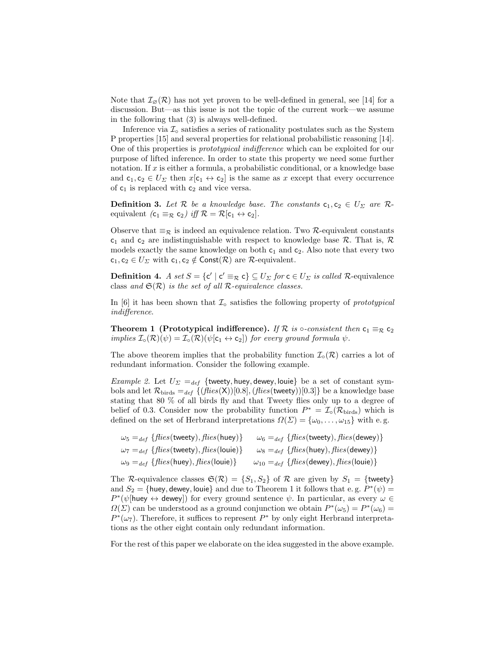Note that  $\mathcal{I}_{\emptyset}(\mathcal{R})$  has not yet proven to be well-defined in general, see [\[14\]](#page-14-11) for a discussion. But—as this issue is not the topic of the current work—we assume in the following that [\(3\)](#page-3-2) is always well-defined.

Inference via  $\mathcal{I}_0$  satisfies a series of rationality postulates such as the System P properties [\[15\]](#page-14-4) and several properties for relational probabilistic reasoning [\[14\]](#page-14-11). One of this properties is prototypical indifference which can be exploited for our purpose of lifted inference. In order to state this property we need some further notation. If  $x$  is either a formula, a probabilistic conditional, or a knowledge base and  $c_1, c_2 \in U_\Sigma$  then  $x[c_1 \leftrightarrow c_2]$  is the same as x except that every occurrence of  $c_1$  is replaced with  $c_2$  and vice versa.

<span id="page-4-1"></span>**Definition 3.** Let R be a knowledge base. The constants  $c_1, c_2 \in U_\Sigma$  are Requivalent  $(c_1 \equiv_{\mathcal{R}} c_2)$  iff  $\mathcal{R} = \mathcal{R}[c_1 \leftrightarrow c_2]$ .

Observe that  $\equiv_{\mathcal{R}}$  is indeed an equivalence relation. Two  $\mathcal{R}$ -equivalent constants  $c_1$  and  $c_2$  are indistinguishable with respect to knowledge base R. That is, R models exactly the same knowledge on both  $c_1$  and  $c_2$ . Also note that every two  $c_1, c_2 \in U_\Sigma$  with  $c_1, c_2 \notin \text{Const}(\mathcal{R})$  are  $\mathcal{R}$ -equivalent.

**Definition 4.** A set  $S = \{c' \mid c' \equiv_{\mathcal{R}} c\} \subseteq U_{\Sigma}$  for  $c \in U_{\Sigma}$  is called R-equivalence class and  $\mathfrak{S}(\mathcal{R})$  is the set of all R-equivalence classes.

In [\[6\]](#page-14-3) it has been shown that  $\mathcal{I}_\circ$  satisfies the following property of prototypical indifference.

<span id="page-4-0"></span>**Theorem 1** (Prototypical indifference). If R is  $\circ$ -consistent then  $c_1 \equiv_R c_2$ implies  $\mathcal{I}_{\circ}(\mathcal{R})(\psi) = \mathcal{I}_{\circ}(\mathcal{R})(\psi[\mathsf{c}_1 \leftrightarrow \mathsf{c}_2])$  for every ground formula  $\psi$ .

The above theorem implies that the probability function  $\mathcal{I}_{\text{o}}(\mathcal{R})$  carries a lot of redundant information. Consider the following example.

<span id="page-4-2"></span>Example 2. Let  $U_{\Sigma} =_{def}$  {tweety, huey, dewey, louie} be a set of constant symbols and let  $\mathcal{R}_{\text{birds}} =_{def} \{(\text{flies}(X))[0.8], (\text{flies}(tweety))[0.3]\}\)$  be a knowledge base stating that 80 % of all birds fly and that Tweety flies only up to a degree of belief of 0.3. Consider now the probability function  $P^* = \mathcal{I}^{\circ}(\mathcal{R}_{\text{birds}})$  which is defined on the set of Herbrand interpretations  $\Omega(\Sigma) = {\omega_0, \ldots, \omega_{15}}$  with e.g.

$$
\omega_5 =_{def} \{ flies(\text{tweety}), flies(\text{huey})\} \qquad \omega_6 =_{def} \{ flies(\text{tweety}), flies(\text{dewey})\}
$$
\n
$$
\omega_7 =_{def} \{ flies(\text{tweety}), flies(\text{louie})\} \qquad \omega_8 =_{def} \{ flies(\text{huey}), flies(\text{dewey})\}
$$
\n
$$
\omega_9 =_{def} \{ flies(\text{huey}), flies(\text{louie})\} \qquad \omega_{10} =_{def} \{ flies(\text{dewey}), flies(\text{louie})\}
$$

The R-equivalence classes  $\mathfrak{S}(\mathcal{R}) = \{S_1, S_2\}$  of R are given by  $S_1 = \{\text{tweety}\}\$ and  $S_2 = \{\text{huey}, \text{dewey}, \text{louie}\}\$  and due to Theorem [1](#page-4-0) it follows that e.g.  $P^*(\psi) =$  $P^*(\psi)$ huey  $\leftrightarrow$  dewey) for every ground sentence  $\psi$ . In particular, as every  $\omega \in$  $\Omega(\Sigma)$  can be understood as a ground conjunction we obtain  $P^*(\omega_5) = P^*(\omega_6)$  $P^*(\omega_7)$ . Therefore, it suffices to represent  $P^*$  by only eight Herbrand interpretations as the other eight contain only redundant information.

For the rest of this paper we elaborate on the idea suggested in the above example.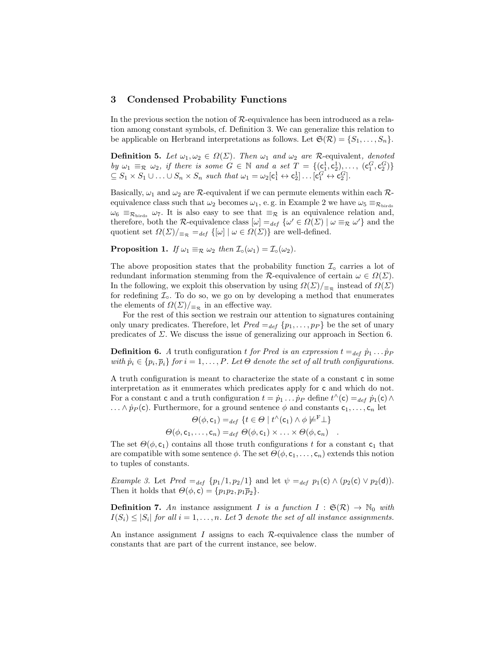# <span id="page-5-0"></span>3 Condensed Probability Functions

In the previous section the notion of R-equivalence has been introduced as a relation among constant symbols, cf. Definition [3.](#page-4-1) We can generalize this relation to be applicable on Herbrand interpretations as follows. Let  $\mathfrak{S}(\mathcal{R}) = \{S_1, \ldots, S_n\}.$ 

**Definition 5.** Let  $\omega_1, \omega_2 \in \Omega(\Sigma)$ . Then  $\omega_1$  and  $\omega_2$  are R-equivalent, denoted by  $\omega_1 \equiv_{\mathcal{R}} \omega_2$ , if there is some  $G \in \mathbb{N}$  and a set  $T = \{(\mathsf{c}_1^1, \mathsf{c}_2^1), \ldots, (\mathsf{c}_1^G, \mathsf{c}_2^G)\}\$  $\subseteq S_1 \times S_1 \cup \ldots \cup S_n \times S_n$  such that  $\omega_1 = \omega_2[c_1^1 \leftrightarrow c_2^1] \ldots [c_1^G \leftrightarrow c_2^G]$ .

Basically,  $\omega_1$  and  $\omega_2$  are  $\mathcal{R}$ -equivalent if we can permute elements within each  $\mathcal{R}$ equivalence class such that  $\omega_2$  becomes  $\omega_1$ , e.g. in Example [2](#page-4-2) we have  $\omega_5 \equiv_{\mathcal{R}_{\text{birds}}}$  $\omega_6 \equiv_{\mathcal{R}_{\text{birds}}} \omega_7$ . It is also easy to see that  $\equiv_{\mathcal{R}}$  is an equivalence relation and, therefore, both the R-equivalence class  $[\omega] =_{def} {\omega' \in \Omega(\Sigma) | \omega \equiv_{\mathcal{R}} \omega'}$  and the quotient set  $\Omega(\Sigma)/_{\equiv_{\mathcal{R}}} =_{def} \{ [\omega] \mid \omega \in \Omega(\Sigma) \}$  are well-defined.

**Proposition 1.** If  $\omega_1 \equiv_R \omega_2$  then  $\mathcal{I}_{\circ}(\omega_1) = \mathcal{I}_{\circ}(\omega_2)$ .

The above proposition states that the probability function  $\mathcal{I}_\circ$  carries a lot of redundant information stemming from the R-equivalence of certain  $\omega \in \Omega(\Sigma)$ . In the following, we exploit this observation by using  $\Omega(\Sigma)/_{\equiv_{\mathcal{R}}}$  instead of  $\Omega(\Sigma)$ for redefining  $\mathcal{I}_{\circ}$ . To do so, we go on by developing a method that enumerates the elements of  $\Omega(\Sigma)|_{\equiv_{\mathcal{R}}}$  in an effective way.

For the rest of this section we restrain our attention to signatures containing only unary predicates. Therefore, let  $Pred =_{def} \{p_1, \ldots, p_P\}$  be the set of unary predicates of  $\Sigma$ . We discuss the issue of generalizing our approach in Section [6.](#page-10-0)

**Definition 6.** A truth configuration t for Pred is an expression  $t =_{def} \dot{p}_1 \dots \dot{p}_P$ with  $\dot{p}_i \in \{p_i, \overline{p}_i\}$  for  $i = 1, \ldots, P$ . Let  $\Theta$  denote the set of all truth configurations.

A truth configuration is meant to characterize the state of a constant c in some interpretation as it enumerates which predicates apply for c and which do not. For a constant c and a truth configuration  $t = \dot{p}_1 \dots \dot{p}_P$  define  $t^{\wedge}(\mathsf{c}) =_{def} \dot{p}_1(\mathsf{c}) \wedge$  $\ldots \wedge \dot{p}_P(\mathsf{c})$ . Furthermore, for a ground sentence  $\phi$  and constants  $\mathsf{c}_1, \ldots, \mathsf{c}_n$  let

$$
\Theta(\phi, \mathsf{c}_1) =_{def} \{ t \in \Theta \mid t^{\wedge}(\mathsf{c}_1) \wedge \phi \not\models^{\mathsf{F}} \bot \} \n\Theta(\phi, \mathsf{c}_1, \ldots, \mathsf{c}_n) =_{def} \Theta(\phi, \mathsf{c}_1) \times \ldots \times \Theta(\phi, \mathsf{c}_n) .
$$

The set  $\Theta(\phi, \mathsf{c}_1)$  contains all those truth configurations t for a constant  $\mathsf{c}_1$  that are compatible with some sentence  $\phi$ . The set  $\Theta(\phi, c_1, \ldots, c_n)$  extends this notion to tuples of constants.

Example 3. Let  $Pred =_{def} \{p_1/1, p_2/1\}$  and let  $\psi =_{def} p_1(c) \wedge (p_2(c) \vee p_2(d)).$ Then it holds that  $\Theta(\phi, c) = \{p_1p_2, p_1\overline{p}_2\}.$ 

**Definition 7.** An instance assignment I is a function  $I : \mathfrak{S}(\mathcal{R}) \to \mathbb{N}_0$  with  $I(S_i) \leq |S_i|$  for all  $i = 1, \ldots, n$ . Let  $\mathfrak I$  denote the set of all instance assignments.

An instance assignment  $I$  assigns to each  $R$ -equivalence class the number of constants that are part of the current instance, see below.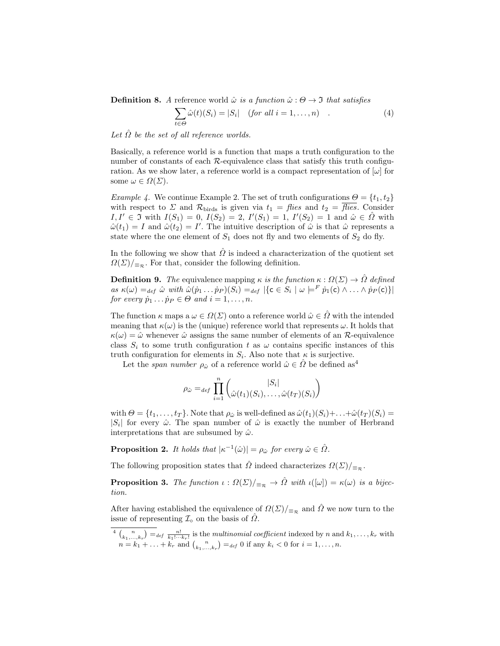**Definition 8.** A reference world  $\hat{\omega}$  is a function  $\hat{\omega}$  :  $\Theta \rightarrow \Im$  that satisfies

$$
\sum_{t \in \Theta} \hat{\omega}(t)(S_i) = |S_i| \quad (for all i = 1, ..., n) \quad . \tag{4}
$$

Let  $\hat{\Omega}$  be the set of all reference worlds.

Basically, a reference world is a function that maps a truth configuration to the number of constants of each  $R$ -equivalence class that satisfy this truth configuration. As we show later, a reference world is a compact representation of  $[\omega]$  for some  $\omega \in \Omega(\Sigma)$ .

*Example 4.* We continue Example [2.](#page-4-2) The set of truth configurations  $\Theta = \{t_1, t_2\}$ with respect to  $\Sigma$  and  $\mathcal{R}_{\text{birds}}$  is given via  $t_1 =$  flies and  $t_2 =$  flies. Consider  $I, I' \in \mathfrak{I}$  with  $I(S_1) = 0, I(S_2) = 2, I'(S_1) = 1, I'(S_2) = 1$  and  $\hat{\omega} \in \hat{\Omega}$  with  $\hat{\omega}(t_1) = I$  and  $\hat{\omega}(t_2) = I'$ . The intuitive description of  $\hat{\omega}$  is that  $\hat{\omega}$  represents a state where the one element of  $S_1$  does not fly and two elements of  $S_2$  do fly.

In the following we show that  $\hat{\Omega}$  is indeed a characterization of the quotient set  $\Omega(\Sigma)|_{\equiv_{\mathcal{R}}}$ . For that, consider the following definition.

**Definition 9.** The equivalence mapping  $\kappa$  is the function  $\kappa : \Omega(\Sigma) \to \hat{\Omega}$  defined as  $\kappa(\omega) =_{def} \hat{\omega}$  with  $\hat{\omega}(p_1 \dots p_P)(S_i) =_{def} |\{c \in S_i \mid \omega \models^F p_1(c) \land \dots \land p_P(c)\}|$ for every  $\dot{p}_1 \dots \dot{p}_P \in \Theta$  and  $i = 1, \dots, n$ .

The function  $\kappa$  maps  $a \omega \in \Omega(\Sigma)$  onto a reference world  $\hat{\omega} \in \hat{\Omega}$  with the intended meaning that  $\kappa(\omega)$  is the (unique) reference world that represents  $\omega$ . It holds that  $\kappa(\omega) = \hat{\omega}$  whenever  $\hat{\omega}$  assigns the same number of elements of an R-equivalence class  $S_i$  to some truth configuration t as  $\omega$  contains specific instances of this truth configuration for elements in  $S_i$ . Also note that  $\kappa$  is surjective.

Let the span number  $\rho_{\hat{\omega}}$  of a reference world  $\hat{\omega} \in \hat{\Omega}$  be defined as<sup>[4](#page-6-0)</sup>

$$
\rho_{\hat{\omega}} =_{def} \prod_{i=1}^{n} \left( \frac{|S_i|}{\hat{\omega}(t_1)(S_i), \dots, \hat{\omega}(t_T)(S_i)} \right)
$$

with  $\Theta = \{t_1, \ldots, t_T\}$ . Note that  $\rho_{\hat{\omega}}$  is well-defined as  $\hat{\omega}(t_1)(S_i) + \ldots + \hat{\omega}(t_T)(S_i) =$  $|S_i|$  for every  $\hat{\omega}$ . The span number of  $\hat{\omega}$  is exactly the number of Herbrand interpretations that are subsumed by  $\hat{\omega}$ .

**Proposition 2.** It holds that  $|\kappa^{-1}(\hat{\omega})| = \rho_{\hat{\omega}}$  for every  $\hat{\omega} \in \hat{\Omega}$ .

The following proposition states that  $\hat{\Omega}$  indeed characterizes  $\Omega(\Sigma)|_{\Xi_{\mathcal{R}}}$ .

**Proposition 3.** The function  $\iota : \Omega(\Sigma)|_{\Xi_{\mathcal{R}}} \to \hat{\Omega}$  with  $\iota([\omega]) = \kappa(\omega)$  is a bijection.

After having established the equivalence of  $\Omega(\Sigma)/_{\equiv_{\mathcal{R}}}$  and  $\hat{\Omega}$  we now turn to the issue of representing  $\mathcal{I}^{\circ}$  on the basis of  $\hat{\Omega}$ .

<span id="page-6-0"></span> $\binom{n}{k_1,\dots,k_r} =_{def} \frac{n!}{k_1!\cdots k_r!}$  is the multinomial coefficient indexed by n and  $k_1,\dots,k_r$  with  $n = k_1 + \ldots + k_r$  and  $\binom{n}{k_1, \ldots, k_r} =_{def} 0$  if any  $k_i < 0$  for  $i = 1, \ldots, n$ .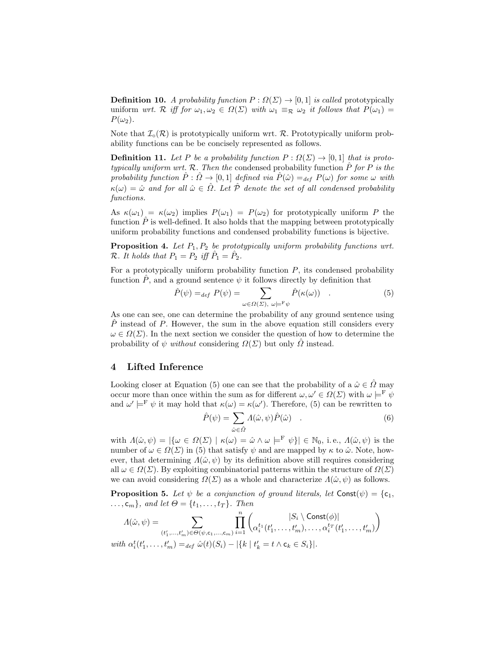**Definition 10.** A probability function  $P: \Omega(\Sigma) \to [0, 1]$  is called prototypically uniform wrt. R iff for  $\omega_1, \omega_2 \in \Omega(\Sigma)$  with  $\omega_1 \equiv_{\mathcal{R}} \omega_2$  it follows that  $P(\omega_1)$  $P(\omega_2)$ .

Note that  $\mathcal{I}_{\circ}(\mathcal{R})$  is prototypically uniform wrt.  $\mathcal{R}$ . Prototypically uniform probability functions can be be concisely represented as follows.

**Definition 11.** Let P be a probability function  $P: \Omega(\Sigma) \to [0, 1]$  that is prototypically uniform wrt. R. Then the condensed probability function  $\hat{P}$  for P is the probability function  $\hat{P}: \hat{\Omega} \to [0,1]$  defined via  $\hat{P}(\hat{\omega}) =_{def} P(\omega)$  for some  $\omega$  with  $\kappa(\omega) = \hat{\omega}$  and for all  $\hat{\omega} \in \hat{\Omega}$ . Let  $\hat{\mathcal{P}}$  denote the set of all condensed probability functions.

As  $\kappa(\omega_1) = \kappa(\omega_2)$  implies  $P(\omega_1) = P(\omega_2)$  for prototypically uniform P the function  $\hat{P}$  is well-defined. It also holds that the mapping between prototypically uniform probability functions and condensed probability functions is bijective.

**Proposition 4.** Let  $P_1, P_2$  be prototypically uniform probability functions wrt.  $\mathcal{R}$ . It holds that  $P_1 = P_2$  iff  $\hat{P}_1 = \hat{P}_2$ .

For a prototypically uniform probability function  $P$ , its condensed probability function  $\hat{P}$ , and a ground sentence  $\psi$  it follows directly by definition that

<span id="page-7-1"></span>
$$
\hat{P}(\psi) =_{def} P(\psi) = \sum_{\omega \in \Omega(\Sigma), \ \omega \models^{\mathrm{F}} \psi} \hat{P}(\kappa(\omega)) \quad . \tag{5}
$$

As one can see, one can determine the probability of any ground sentence using  $\hat{P}$  instead of P. However, the sum in the above equation still considers every  $\omega \in \Omega(\Sigma)$ . In the next section we consider the question of how to determine the probability of  $\psi$  without considering  $\Omega(\Sigma)$  but only  $\overline{\Omega}$  instead.

# <span id="page-7-0"></span>4 Lifted Inference

Looking closer at Equation [\(5\)](#page-7-1) one can see that the probability of a  $\hat{\omega} \in \hat{\Omega}$  may occur more than once within the sum as for different  $\omega, \omega' \in \Omega(\Sigma)$  with  $\omega \models^F \psi$ and  $\omega' \models^{\mathbf{F}} \psi$  it may hold that  $\kappa(\omega) = \kappa(\omega')$ . Therefore, [\(5\)](#page-7-1) can be rewritten to

<span id="page-7-2"></span>
$$
\hat{P}(\psi) = \sum_{\hat{\omega} \in \hat{\Omega}} \Lambda(\hat{\omega}, \psi) \hat{P}(\hat{\omega}) \quad . \tag{6}
$$

with  $\Lambda(\hat{\omega}, \psi) = |\{\omega \in \Omega(\Sigma) \mid \kappa(\omega) = \hat{\omega} \wedge \omega \models^F \psi\}| \in \mathbb{N}_0$ , i.e.,  $\Lambda(\hat{\omega}, \psi)$  is the number of  $\omega \in \Omega(\Sigma)$  in [\(5\)](#page-7-1) that satisfy  $\psi$  and are mapped by  $\kappa$  to  $\hat{\omega}$ . Note, however, that determining  $\Lambda(\hat{\omega}, \psi)$  by its definition above still requires considering all  $\omega \in \Omega(\Sigma)$ . By exploiting combinatorial patterns within the structure of  $\Omega(\Sigma)$ we can avoid considering  $\Omega(\Sigma)$  as a whole and characterize  $\Lambda(\hat{\omega}, \psi)$  as follows.

<span id="page-7-3"></span>**Proposition 5.** Let  $\psi$  be a conjunction of ground literals, let Const $(\psi) = \{c_1, c_2\}$  $\ldots, c_m$ , and let  $\Theta = \{t_1, \ldots, t_T\}$ . Then

$$
\Lambda(\hat{\omega}, \psi) = \sum_{(t'_1, \dots, t'_m) \in \Theta(\psi, \mathsf{c}_1, \dots, \mathsf{c}_m)} \prod_{i=1}^n \begin{pmatrix} |S_i \setminus \mathsf{Const}(\phi)| \\ \alpha_i^{t_1}(t'_1, \dots, t'_m), \dots, \alpha_i^{t_T}(t'_1, \dots, t'_m) \end{pmatrix}
$$
  
with  $\alpha_i^t(t'_1, \dots, t'_m) =_{def} \hat{\omega}(t)(S_i) - |\{k \mid t'_k = t \setminus \mathsf{c}_k \in S_i\}|.$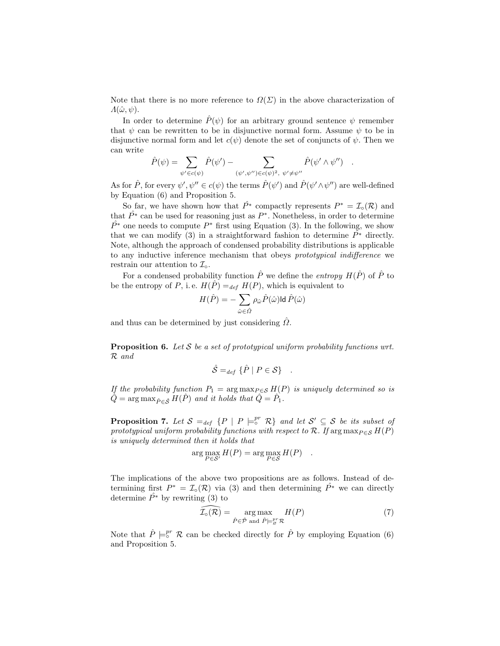Note that there is no more reference to  $\Omega(\Sigma)$  in the above characterization of  $\Lambda(\hat{\omega}, \psi)$ .

In order to determine  $\hat{P}(\psi)$  for an arbitrary ground sentence  $\psi$  remember that  $\psi$  can be rewritten to be in disjunctive normal form. Assume  $\psi$  to be in disjunctive normal form and let  $c(\psi)$  denote the set of conjuncts of  $\psi$ . Then we can write

$$
\hat{P}(\psi) = \sum_{\psi' \in c(\psi)} \hat{P}(\psi') - \sum_{(\psi', \psi'') \in c(\psi)^2, \ \psi' \neq \psi''} \hat{P}(\psi' \wedge \psi'') \quad .
$$

As for  $\hat{P}$ , for every  $\psi', \psi'' \in c(\psi)$  the terms  $\hat{P}(\psi')$  and  $\hat{P}(\psi' \wedge \psi'')$  are well-defined by Equation [\(6\)](#page-7-2) and Proposition [5.](#page-7-3)

So far, we have shown how that  $\hat{P}^*$  compactly represents  $P^* = \mathcal{I}_o(\mathcal{R})$  and that  $\hat{P^*}$  can be used for reasoning just as  $P^*$ . Nonetheless, in order to determine  $\hat{P}^*$  one needs to compute  $P^*$  first using Equation [\(3\)](#page-3-2). In the following, we show that we can modify [\(3\)](#page-3-2) in a straightforward fashion to determine  $\hat{P}^*$  directly. Note, although the approach of condensed probability distributions is applicable to any inductive inference mechanism that obeys prototypical indifference we restrain our attention to  $\mathcal{I}_{\circ}$ .

For a condensed probability function  $\hat{P}$  we define the *entropy*  $H(\hat{P})$  of  $\hat{P}$  to be the entropy of P, i.e.  $H(\hat{P}) =_{def} H(P)$ , which is equivalent to

$$
H(\hat{P}) = -\sum_{\hat{\omega} \in \hat{\varOmega}} \rho_{\hat{\omega}} \hat{P}(\hat{\omega}) \text{Id } \hat{P}(\hat{\omega})
$$

and thus can be determined by just considering  $\Omega$ .

**Proposition 6.** Let S be a set of prototypical uniform probability functions wrt. R and

$$
\hat{\mathcal{S}} =_{def} \{\hat{P} \mid P \in \mathcal{S}\} .
$$

If the probability function  $P_1 = \arg \max_{P \in \mathcal{S}} H(P)$  is uniquely determined so is  $\hat{Q} = \arg \max_{\hat{P} \in \mathcal{S}} H(\hat{P})$  and it holds that  $\hat{Q} = \hat{P}_1$ .

**Proposition 7.** Let  $S =_{def} \{P \mid P \models^{\text{pr}}_{\circ} \mathcal{R} \}$  and let  $S' \subseteq S$  be its subset of prototypical uniform probability functions with respect to  $\mathcal{R}$ . If arg max $_{P \in \mathcal{S}} H(P)$ is uniquely determined then it holds that

$$
\arg \max_{P \in \mathcal{S}'} H(P) = \arg \max_{P \in \mathcal{S}} H(P) .
$$

The implications of the above two propositions are as follows. Instead of determining first  $P^* = \mathcal{I}_0(\mathcal{R})$  via [\(3\)](#page-3-2) and then determining  $\hat{P^*}$  we can directly determine  $\hat{P}^*$  by rewriting [\(3\)](#page-3-2) to

$$
\widehat{\mathcal{I}_{\circ}(\mathcal{R})} = \underset{\hat{P} \in \hat{\mathcal{P}} \text{ and } \hat{P} \models_{\mathcal{S}}^{pr} \mathcal{R}}{\arg \max} H(P) \tag{7}
$$

Note that  $\hat{P} \models_0^{pr} \mathcal{R}$  can be checked directly for  $\hat{P}$  by employing Equation [\(6\)](#page-7-2) and Proposition [5.](#page-7-3)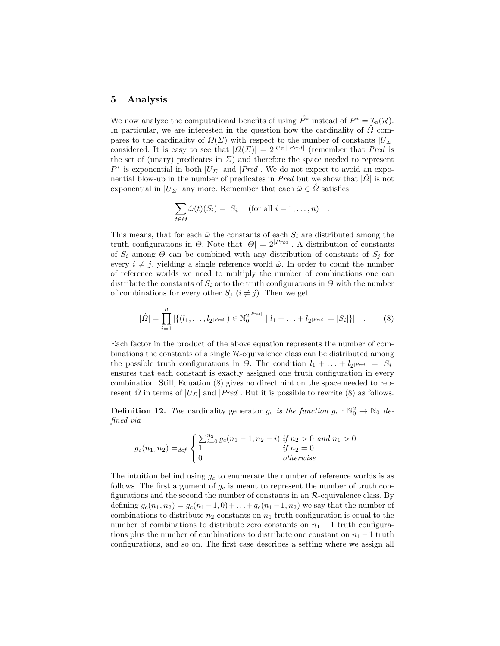#### <span id="page-9-0"></span>5 Analysis

We now analyze the computational benefits of using  $\hat{P^*}$  instead of  $P^* = \mathcal{I}_o(\mathcal{R})$ . In particular, we are interested in the question how the cardinality of  $\hat{\Omega}$  compares to the cardinality of  $\Omega(\Sigma)$  with respect to the number of constants  $|U_{\Sigma}|$ considered. It is easy to see that  $|\Omega(\Sigma)| = 2^{|U_{\Sigma}||Pred|}$  (remember that *Pred* is the set of (unary) predicates in  $\Sigma$ ) and therefore the space needed to represent  $P^*$  is exponential in both  $|U_{\Sigma}|$  and  $|Pred|$ . We do not expect to avoid an exponential blow-up in the number of predicates in Pred but we show that  $|\Omega|$  is not exponential in  $|U_{\Sigma}|$  any more. Remember that each  $\hat{\omega} \in \Omega$  satisfies

$$
\sum_{t \in \Theta} \hat{\omega}(t)(S_i) = |S_i| \quad \text{(for all } i = 1, \dots, n) \quad .
$$

This means, that for each  $\hat{\omega}$  the constants of each  $S_i$  are distributed among the truth configurations in  $\Theta$ . Note that  $|\Theta| = 2^{|Pred|}$ . A distribution of constants of  $S_i$  among  $\Theta$  can be combined with any distribution of constants of  $S_j$  for every  $i \neq j$ , yielding a single reference world  $\hat{\omega}$ . In order to count the number of reference worlds we need to multiply the number of combinations one can distribute the constants of  $S_i$  onto the truth configurations in  $\Theta$  with the number of combinations for every other  $S_j$   $(i \neq j)$ . Then we get

$$
|\hat{\Omega}| = \prod_{i=1}^{n} |\{(l_1, \ldots, l_{2^{|Pred|}}) \in \mathbb{N}_0^{2^{|Pred|}} \mid l_1 + \ldots + l_{2^{|Pred|}} = |S_i|\}| \quad . \tag{8}
$$

Each factor in the product of the above equation represents the number of combinations the constants of a single  $\mathcal{R}$ -equivalence class can be distributed among the possible truth configurations in  $\Theta$ . The condition  $l_1 + \ldots + l_{2^{|Pred|}} = |S_i|$ ensures that each constant is exactly assigned one truth configuration in every combination. Still, Equation [\(8\)](#page-9-1) gives no direct hint on the space needed to represent  $\hat{\Omega}$  in terms of  $|U_{\Sigma}|$  and  $|Pred|$ . But it is possible to rewrite [\(8\)](#page-9-1) as follows.

**Definition 12.** The cardinality generator  $g_c$  is the function  $g_c : \mathbb{N}_0^2 \to \mathbb{N}_0$  defined via

$$
g_c(n_1, n_2) =_{def} \begin{cases} \sum_{i=0}^{n_2} g_c(n_1 - 1, n_2 - i) & \text{if } n_2 > 0 \text{ and } n_1 > 0\\ 1 & \text{if } n_2 = 0\\ 0 & \text{otherwise} \end{cases}
$$

<span id="page-9-1"></span>.

The intuition behind using  $g_c$  to enumerate the number of reference worlds is as follows. The first argument of  $g_c$  is meant to represent the number of truth configurations and the second the number of constants in an  $\mathcal{R}$ -equivalence class. By defining  $g_c(n_1, n_2) = g_c(n_1 - 1, 0) + ... + g_c(n_1 - 1, n_2)$  we say that the number of combinations to distribute  $n_2$  constants on  $n_1$  truth configuration is equal to the number of combinations to distribute zero constants on  $n_1 - 1$  truth configurations plus the number of combinations to distribute one constant on  $n_1 - 1$  truth configurations, and so on. The first case describes a setting where we assign all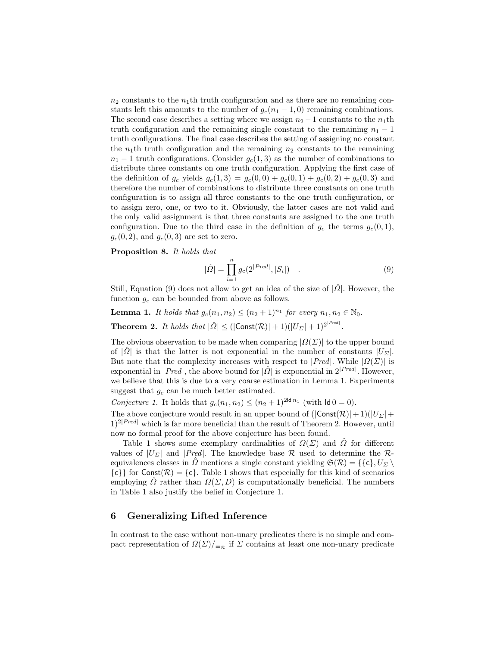$n_2$  constants to the  $n_1$ <sup>th</sup> truth configuration and as there are no remaining constants left this amounts to the number of  $g_c(n_1 - 1, 0)$  remaining combinations. The second case describes a setting where we assign  $n_2 - 1$  constants to the  $n_1$ th truth configuration and the remaining single constant to the remaining  $n_1 - 1$ truth configurations. The final case describes the setting of assigning no constant the  $n_1$ th truth configuration and the remaining  $n_2$  constants to the remaining  $n_1 - 1$  truth configurations. Consider  $g_c(1, 3)$  as the number of combinations to distribute three constants on one truth configuration. Applying the first case of the definition of  $g_c$  yields  $g_c(1, 3) = g_c(0, 0) + g_c(0, 1) + g_c(0, 2) + g_c(0, 3)$  and therefore the number of combinations to distribute three constants on one truth configuration is to assign all three constants to the one truth configuration, or to assign zero, one, or two to it. Obviously, the latter cases are not valid and the only valid assignment is that three constants are assigned to the one truth configuration. Due to the third case in the definition of  $g_c$  the terms  $g_c(0, 1)$ ,  $g_c(0, 2)$ , and  $g_c(0, 3)$  are set to zero.

Proposition 8. It holds that

<span id="page-10-4"></span><span id="page-10-2"></span><span id="page-10-1"></span>
$$
|\hat{\Omega}| = \prod_{i=1}^{n} g_c(2^{|Pred|}, |S_i|) .
$$
 (9)

Still, Equation [\(9\)](#page-10-1) does not allow to get an idea of the size of  $|\hat{\Omega}|$ . However, the function  $g_c$  can be bounded from above as follows.

**Lemma 1.** It holds that  $g_c(n_1, n_2) \leq (n_2 + 1)^{n_1}$  for every  $n_1, n_2 \in \mathbb{N}_0$ .

<span id="page-10-3"></span>**Theorem 2.** It holds that  $|\hat{\Omega}| \leq (|\text{Const}(\mathcal{R})| + 1)(|U_{\Sigma}| + 1)^{2^{|Pred|}}$ .

The obvious observation to be made when comparing  $|\Omega(\Sigma)|$  to the upper bound of  $|\hat{\Omega}|$  is that the latter is not exponential in the number of constants  $|U_{\Sigma}|$ . But note that the complexity increases with respect to  $|Pred|$ . While  $|Q(\Sigma)|$  is exponential in  $|Pred|$ , the above bound for  $|\hat{Q}|$  is exponential in  $2^{|Pred|}$ . However, we believe that this is due to a very coarse estimation in Lemma [1.](#page-10-2) Experiments suggest that  $g_c$  can be much better estimated.

Conjecture 1. It holds that  $g_c(n_1, n_2) \le (n_2 + 1)^{2\lg n_1}$  (with  $\lg 0 = 0$ ).

The above conjecture would result in an upper bound of  $(|\text{Const}(\mathcal{R})|+1)(|U_{\Sigma}|+$  $1$ <sup>2|Pred|</sup> which is far more beneficial than the result of Theorem [2.](#page-10-3) However, until now no formal proof for the above conjecture has been found.

Table [1](#page-11-1) shows some exemplary cardinalities of  $\Omega(\Sigma)$  and  $\overline{\Omega}$  for different values of  $|U_{\Sigma}|$  and  $|Pred|$ . The knowledge base R used to determine the Requivalences classes in  $\Omega$  mentions a single constant yielding  $\mathfrak{S}(\mathcal{R}) = \{\{\mathsf{c}\}, U_{\Sigma}\}\$  $\{c\}\$  for Const $(\mathcal{R}) = \{c\}$ . Table [1](#page-11-1) shows that especially for this kind of scenarios employing  $\Omega$  rather than  $\Omega(\Sigma, D)$  is computationally beneficial. The numbers in Table [1](#page-11-1) also justify the belief in Conjecture [1.](#page-10-4)

# <span id="page-10-0"></span>6 Generalizing Lifted Inference

In contrast to the case without non-unary predicates there is no simple and compact representation of  $\Omega(\Sigma)|_{\equiv_{\mathcal{R}}}$  if  $\Sigma$  contains at least one non-unary predicate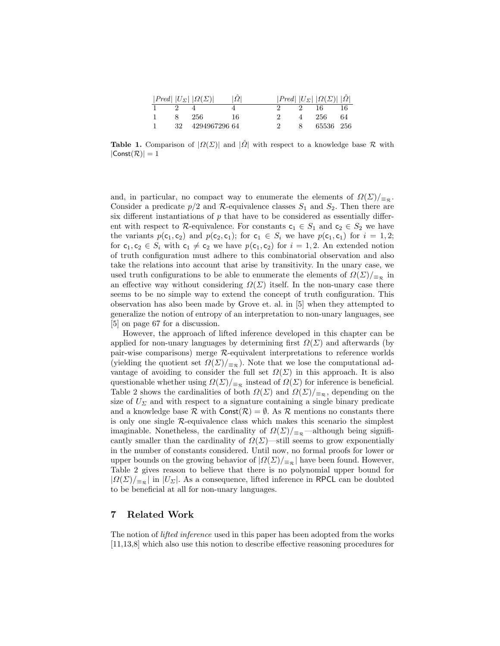|  | $ Pred   U_{\Sigma}    \Omega(\Sigma) $ | $ \varOmega $ |    | $ Pred $ $ U_{\Sigma} $ $ \Omega(\Sigma)   \Omega $ |    |
|--|-----------------------------------------|---------------|----|-----------------------------------------------------|----|
|  |                                         |               |    | 16                                                  | 16 |
|  | -256-                                   | 16            |    | 256                                                 | 64 |
|  | 32 4294967296 64                        |               | 8. | 65536 256                                           |    |

<span id="page-11-1"></span>**Table 1.** Comparison of  $|\Omega(\Sigma)|$  and  $|\hat{\Omega}|$  with respect to a knowledge base R with  $|Const(\mathcal{R})|=1$ 

and, in particular, no compact way to enumerate the elements of  $\Omega(\Sigma)|_{\equiv_R}$ . Consider a predicate  $p/2$  and R-equivalence classes  $S_1$  and  $S_2$ . Then there are six different instantiations of  $p$  that have to be considered as essentially different with respect to R-equivalence. For constants  $c_1 \in S_1$  and  $c_2 \in S_2$  we have the variants  $p(c_1, c_2)$  and  $p(c_2, c_1)$ ; for  $c_1 \in S_i$  we have  $p(c_1, c_1)$  for  $i = 1, 2$ ; for  $c_1, c_2 \in S_i$  with  $c_1 \neq c_2$  we have  $p(c_1, c_2)$  for  $i = 1, 2$ . An extended notion of truth configuration must adhere to this combinatorial observation and also take the relations into account that arise by transitivity. In the unary case, we used truth configurations to be able to enumerate the elements of  $\Omega(\Sigma)|_{\equiv_{\mathcal{R}}}$  in an effective way without considering  $\Omega(\Sigma)$  itself. In the non-unary case there seems to be no simple way to extend the concept of truth configuration. This observation has also been made by Grove et. al. in [\[5\]](#page-14-12) when they attempted to generalize the notion of entropy of an interpretation to non-unary languages, see [\[5\]](#page-14-12) on page 67 for a discussion.

However, the approach of lifted inference developed in this chapter can be applied for non-unary languages by determining first  $\Omega(\Sigma)$  and afterwards (by pair-wise comparisons) merge  $R$ -equivalent interpretations to reference worlds (yielding the quotient set  $\Omega(\Sigma)/_{\Xi_{\mathcal{R}}}$ ). Note that we lose the computational advantage of avoiding to consider the full set  $\Omega(\Sigma)$  in this approach. It is also questionable whether using  $\Omega(\Sigma)|_{\equiv_R}$  instead of  $\Omega(\Sigma)$  for inference is beneficial. Table [2](#page-12-0) shows the cardinalities of both  $\Omega(\Sigma)$  and  $\Omega(\Sigma)|_{\equiv_{\mathcal{R}}}$ , depending on the size of  $U_{\Sigma}$  and with respect to a signature containing a single binary predicate and a knowledge base R with  $\text{Const}(\mathcal{R}) = \emptyset$ . As R mentions no constants there is only one single  $R$ -equivalence class which makes this scenario the simplest imaginable. Nonetheless, the cardinality of  $\Omega(\Sigma)/_{\Xi_{\mathcal{R}}}$ —although being significantly smaller than the cardinality of  $\Omega(\Sigma)$ —still seems to grow exponentially in the number of constants considered. Until now, no formal proofs for lower or upper bounds on the growing behavior of  $|\Omega(\Sigma)|_{\equiv_{\mathcal{R}}}$  have been found. However, Table [2](#page-12-0) gives reason to believe that there is no polynomial upper bound for  $|\Omega(\Sigma)|_{\equiv_{\mathcal{R}}}$  in  $|U_{\Sigma}|$ . As a consequence, lifted inference in RPCL can be doubted to be beneficial at all for non-unary languages.

# <span id="page-11-0"></span>7 Related Work

The notion of lifted inference used in this paper has been adopted from the works [\[11](#page-14-7)[,13,](#page-14-8)[8\]](#page-14-9) which also use this notion to describe effective reasoning procedures for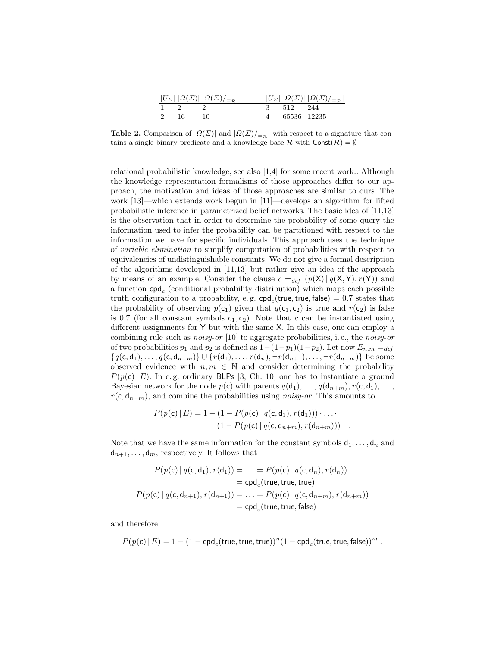|     | $ U_{\Sigma}  \left  \Omega(\Sigma) \right   \Omega(\Sigma) _{\equiv_{\mathcal{R}}}$ |             | $ U_{\Sigma}  \left  \Omega(\Sigma) \right   \Omega(\Sigma) _{\equiv_{\mathcal{R}}}$ |
|-----|--------------------------------------------------------------------------------------|-------------|--------------------------------------------------------------------------------------|
|     |                                                                                      | 512 244     |                                                                                      |
| -16 |                                                                                      | 65536 12235 |                                                                                      |

<span id="page-12-0"></span>**Table 2.** Comparison of  $|\Omega(\Sigma)|$  and  $|\Omega(\Sigma)| = \mathbb{R}$  with respect to a signature that contains a single binary predicate and a knowledge base  $\mathcal R$  with  $\mathsf{Const}(\mathcal R) = \emptyset$ 

relational probabilistic knowledge, see also [\[1,](#page-14-13)[4\]](#page-14-14) for some recent work.. Although the knowledge representation formalisms of those approaches differ to our approach, the motivation and ideas of those approaches are similar to ours. The work [\[13\]](#page-14-8)—which extends work begun in [\[11\]](#page-14-7)—develops an algorithm for lifted probabilistic inference in parametrized belief networks. The basic idea of [\[11,](#page-14-7)[13\]](#page-14-8) is the observation that in order to determine the probability of some query the information used to infer the probability can be partitioned with respect to the information we have for specific individuals. This approach uses the technique of variable elimination to simplify computation of probabilities with respect to equivalencies of undistinguishable constants. We do not give a formal description of the algorithms developed in [\[11,](#page-14-7)[13\]](#page-14-8) but rather give an idea of the approach by means of an example. Consider the clause  $c =_{def} (p(X) | q(X, Y), r(Y))$  and a function  $\mathsf{cpd}_c$  (conditional probability distribution) which maps each possible truth configuration to a probability, e.g.  $\mathsf{cpd}_c(\mathsf{true},\mathsf{true},\mathsf{false}) = 0.7$  states that the probability of observing  $p(c_1)$  given that  $q(c_1, c_2)$  is true and  $r(c_2)$  is false is 0.7 (for all constant symbols  $c_1, c_2$ ). Note that c can be instantiated using different assignments for Y but with the same X. In this case, one can employ a combining rule such as *noisy-or* [\[10\]](#page-14-1) to aggregate probabilities, i.e., the *noisy-or* of two probabilities  $p_1$  and  $p_2$  is defined as  $1-(1-p_1)(1-p_2)$ . Let now  $E_{n,m} =_{def}$  ${q(c, d_1), \ldots, q(c, d_{n+m})} \cup {r(d_1), \ldots, r(d_n), \neg r(d_{n+1}), \ldots, \neg r(d_{n+m})}$  be some observed evidence with  $n, m \in \mathbb{N}$  and consider determining the probability  $P(p(c)|E)$ . In e.g. ordinary BLPs [\[3,](#page-14-0) Ch. 10] one has to instantiate a ground Bayesian network for the node  $p(c)$  with parents  $q(d_1), \ldots, q(d_{n+m}), r(c, d_1), \ldots$ ,  $r(\mathsf{c}, \mathsf{d}_{n+m})$ , and combine the probabilities using *noisy-or*. This amounts to

$$
P(p(c) | E) = 1 - (1 - P(p(c) | q(c, d_1), r(d_1))) \cdot ... \cdot (1 - P(p(c) | q(c, d_{n+m}), r(d_{n+m})))
$$

Note that we have the same information for the constant symbols  $d_1, \ldots, d_n$  and  $d_{n+1}, \ldots, d_m$ , respectively. It follows that

$$
P(p(\mathbf{c}) | q(\mathbf{c}, \mathbf{d}_1), r(\mathbf{d}_1)) = \dots = P(p(\mathbf{c}) | q(\mathbf{c}, \mathbf{d}_n), r(\mathbf{d}_n))
$$
  
= cpd<sub>c</sub>(true, true)  

$$
P(p(\mathbf{c}) | q(\mathbf{c}, \mathbf{d}_{n+1}), r(\mathbf{d}_{n+1})) = \dots = P(p(\mathbf{c}) | q(\mathbf{c}, \mathbf{d}_{n+m}), r(\mathbf{d}_{n+m}))
$$
  
= cpd<sub>c</sub>(true, true, false)

and therefore

$$
P(p(\mathbf{c})\,|\,E) = 1 - (1 - \mathsf{cpd}_c(\mathsf{true}, \mathsf{true}, \mathsf{true}))^n (1 - \mathsf{cpd}_c(\mathsf{true}, \mathsf{true}, \mathsf{false}))^m \; .
$$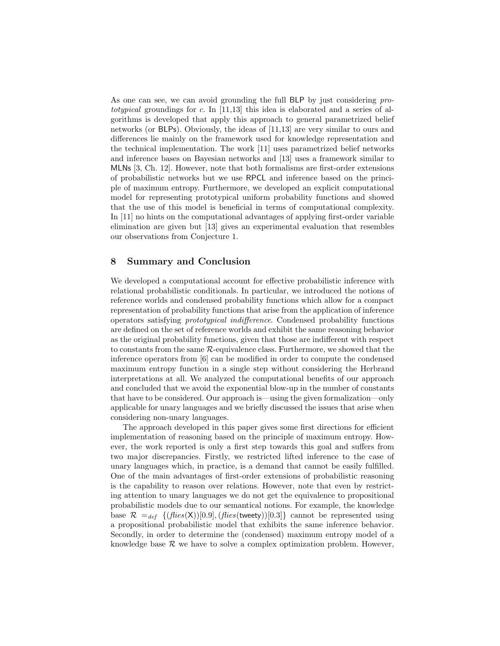As one can see, we can avoid grounding the full BLP by just considering prototypical groundings for c. In  $[11,13]$  $[11,13]$  this idea is elaborated and a series of algorithms is developed that apply this approach to general parametrized belief networks (or BLPs). Obviously, the ideas of [\[11,](#page-14-7)[13\]](#page-14-8) are very similar to ours and differences lie mainly on the framework used for knowledge representation and the technical implementation. The work [\[11\]](#page-14-7) uses parametrized belief networks and inference bases on Bayesian networks and [\[13\]](#page-14-8) uses a framework similar to MLNs [\[3,](#page-14-0) Ch. 12]. However, note that both formalisms are first-order extensions of probabilistic networks but we use RPCL and inference based on the principle of maximum entropy. Furthermore, we developed an explicit computational model for representing prototypical uniform probability functions and showed that the use of this model is beneficial in terms of computational complexity. In [\[11\]](#page-14-7) no hints on the computational advantages of applying first-order variable elimination are given but [\[13\]](#page-14-8) gives an experimental evaluation that resembles our observations from Conjecture [1.](#page-10-4)

# <span id="page-13-0"></span>8 Summary and Conclusion

We developed a computational account for effective probabilistic inference with relational probabilistic conditionals. In particular, we introduced the notions of reference worlds and condensed probability functions which allow for a compact representation of probability functions that arise from the application of inference operators satisfying prototypical indifference. Condensed probability functions are defined on the set of reference worlds and exhibit the same reasoning behavior as the original probability functions, given that those are indifferent with respect to constants from the same R-equivalence class. Furthermore, we showed that the inference operators from [\[6\]](#page-14-3) can be modified in order to compute the condensed maximum entropy function in a single step without considering the Herbrand interpretations at all. We analyzed the computational benefits of our approach and concluded that we avoid the exponential blow-up in the number of constants that have to be considered. Our approach is—using the given formalization—only applicable for unary languages and we briefly discussed the issues that arise when considering non-unary languages.

The approach developed in this paper gives some first directions for efficient implementation of reasoning based on the principle of maximum entropy. However, the work reported is only a first step towards this goal and suffers from two major discrepancies. Firstly, we restricted lifted inference to the case of unary languages which, in practice, is a demand that cannot be easily fulfilled. One of the main advantages of first-order extensions of probabilistic reasoning is the capability to reason over relations. However, note that even by restricting attention to unary languages we do not get the equivalence to propositional probabilistic models due to our semantical notions. For example, the knowledge base  $\mathcal{R} =_{def} \{ (flies(X))[0.9], (flies(tweety))[0.3] \}$  cannot be represented using a propositional probabilistic model that exhibits the same inference behavior. Secondly, in order to determine the (condensed) maximum entropy model of a knowledge base  $\mathcal R$  we have to solve a complex optimization problem. However,